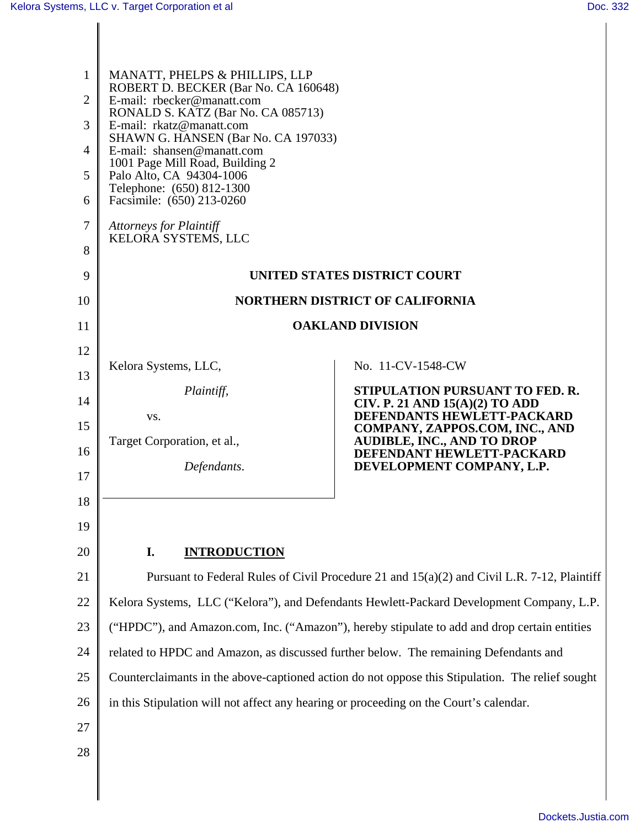| $\mathbf{1}$<br>$\overline{2}$<br>3<br>4<br>5<br>6<br>$\overline{7}$<br>8 | MANATT, PHELPS & PHILLIPS, LLP<br>ROBERT D. BECKER (Bar No. CA 160648)<br>E-mail: rbecker@manatt.com<br>RONALD S. KATZ (Bar No. CA 085713)<br>E-mail: rkatz@manatt.com<br>SHAWN G. HANSEN (Bar No. CA 197033)<br>E-mail: shansen@manatt.com<br>1001 Page Mill Road, Building 2<br>Palo Alto, CA 94304-1006<br>Telephone: (650) 812-1300<br>Facsimile: (650) 213-0260<br><b>Attorneys for Plaintiff</b><br>KELORA SYSTEMS, LLC |                                                                     |  |
|---------------------------------------------------------------------------|-------------------------------------------------------------------------------------------------------------------------------------------------------------------------------------------------------------------------------------------------------------------------------------------------------------------------------------------------------------------------------------------------------------------------------|---------------------------------------------------------------------|--|
| 9                                                                         | UNITED STATES DISTRICT COURT                                                                                                                                                                                                                                                                                                                                                                                                  |                                                                     |  |
| 10                                                                        | <b>NORTHERN DISTRICT OF CALIFORNIA</b>                                                                                                                                                                                                                                                                                                                                                                                        |                                                                     |  |
| 11                                                                        | <b>OAKLAND DIVISION</b>                                                                                                                                                                                                                                                                                                                                                                                                       |                                                                     |  |
| 12                                                                        |                                                                                                                                                                                                                                                                                                                                                                                                                               | No. 11-CV-1548-CW                                                   |  |
| 13                                                                        | Kelora Systems, LLC,                                                                                                                                                                                                                                                                                                                                                                                                          | STIPULATION PURSUANT TO FED. R.                                     |  |
| 14                                                                        | Plaintiff,<br>VS.                                                                                                                                                                                                                                                                                                                                                                                                             | CIV. P. 21 AND $15(A)(2)$ TO ADD<br>DEFENDANTS HEWLETT-PACKARD      |  |
| 15                                                                        | Target Corporation, et al.,                                                                                                                                                                                                                                                                                                                                                                                                   | COMPANY, ZAPPOS.COM, INC., AND<br><b>AUDIBLE, INC., AND TO DROP</b> |  |
| 16                                                                        | Defendants.                                                                                                                                                                                                                                                                                                                                                                                                                   | DEFENDANT HEWLETT-PACKARD<br>DEVELOPMENT COMPANY, L.P.              |  |
| 17                                                                        |                                                                                                                                                                                                                                                                                                                                                                                                                               |                                                                     |  |
| 18                                                                        |                                                                                                                                                                                                                                                                                                                                                                                                                               |                                                                     |  |
| 19                                                                        |                                                                                                                                                                                                                                                                                                                                                                                                                               |                                                                     |  |
| 20                                                                        | I.<br><b>INTRODUCTION</b>                                                                                                                                                                                                                                                                                                                                                                                                     |                                                                     |  |
| 21                                                                        | Pursuant to Federal Rules of Civil Procedure 21 and 15(a)(2) and Civil L.R. 7-12, Plaintiff                                                                                                                                                                                                                                                                                                                                   |                                                                     |  |
| 22                                                                        | Kelora Systems, LLC ("Kelora"), and Defendants Hewlett-Packard Development Company, L.P.                                                                                                                                                                                                                                                                                                                                      |                                                                     |  |
| 23                                                                        | ("HPDC"), and Amazon.com, Inc. ("Amazon"), hereby stipulate to add and drop certain entities                                                                                                                                                                                                                                                                                                                                  |                                                                     |  |
| 24                                                                        | related to HPDC and Amazon, as discussed further below. The remaining Defendants and                                                                                                                                                                                                                                                                                                                                          |                                                                     |  |
| 25                                                                        | Counterclaimants in the above-captioned action do not oppose this Stipulation. The relief sought                                                                                                                                                                                                                                                                                                                              |                                                                     |  |
| 26                                                                        | in this Stipulation will not affect any hearing or proceeding on the Court's calendar.                                                                                                                                                                                                                                                                                                                                        |                                                                     |  |
| 27                                                                        |                                                                                                                                                                                                                                                                                                                                                                                                                               |                                                                     |  |
| 28                                                                        |                                                                                                                                                                                                                                                                                                                                                                                                                               |                                                                     |  |
|                                                                           |                                                                                                                                                                                                                                                                                                                                                                                                                               |                                                                     |  |
|                                                                           |                                                                                                                                                                                                                                                                                                                                                                                                                               |                                                                     |  |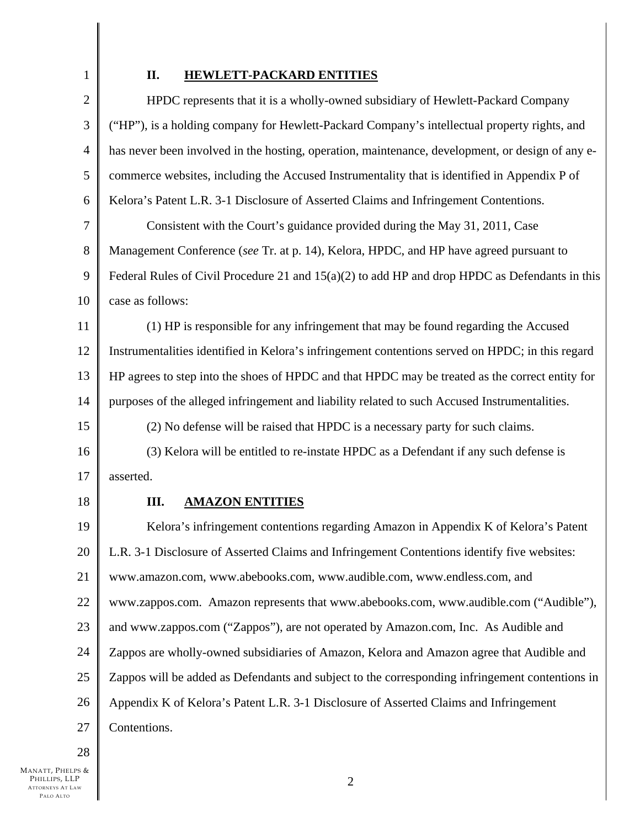1

## **II. HEWLETT-PACKARD ENTITIES**

| $\mathbf{2}$   | HPDC represents that it is a wholly-owned subsidiary of Hewlett-Packard Company                  |  |
|----------------|--------------------------------------------------------------------------------------------------|--|
| 3              | ("HP"), is a holding company for Hewlett-Packard Company's intellectual property rights, and     |  |
| $\overline{4}$ | has never been involved in the hosting, operation, maintenance, development, or design of any e- |  |
| 5              | commerce websites, including the Accused Instrumentality that is identified in Appendix P of     |  |
| 6              | Kelora's Patent L.R. 3-1 Disclosure of Asserted Claims and Infringement Contentions.             |  |
| $\tau$         | Consistent with the Court's guidance provided during the May 31, 2011, Case                      |  |
| 8              | Management Conference (see Tr. at p. 14), Kelora, HPDC, and HP have agreed pursuant to           |  |
| 9              | Federal Rules of Civil Procedure 21 and $15(a)(2)$ to add HP and drop HPDC as Defendants in this |  |
| 10             | case as follows:                                                                                 |  |
| 11             | (1) HP is responsible for any infringement that may be found regarding the Accused               |  |
| 12             | Instrumentalities identified in Kelora's infringement contentions served on HPDC; in this regard |  |
| 13             | HP agrees to step into the shoes of HPDC and that HPDC may be treated as the correct entity for  |  |
| 14             | purposes of the alleged infringement and liability related to such Accused Instrumentalities.    |  |
| 15             | (2) No defense will be raised that HPDC is a necessary party for such claims.                    |  |
| 16             | (3) Kelora will be entitled to re-instate HPDC as a Defendant if any such defense is             |  |
| 17             | asserted.                                                                                        |  |
| 18             | <b>AMAZON ENTITIES</b><br>Ш.                                                                     |  |
| 19             | Kelora's infringement contentions regarding Amazon in Appendix K of Kelora's Patent              |  |
| 20             | L.R. 3-1 Disclosure of Asserted Claims and Infringement Contentions identify five websites:      |  |
| 21             | www.amazon.com, www.abebooks.com, www.audible.com, www.endless.com, and                          |  |
| 22             | www.zappos.com. Amazon represents that www.abebooks.com, www.audible.com ("Audible"),            |  |
| 23             | and www.zappos.com ("Zappos"), are not operated by Amazon.com, Inc. As Audible and               |  |
| 24             | Zappos are wholly-owned subsidiaries of Amazon, Kelora and Amazon agree that Audible and         |  |
| 25             | Zappos will be added as Defendants and subject to the corresponding infringement contentions in  |  |
| 26             | Appendix K of Kelora's Patent L.R. 3-1 Disclosure of Asserted Claims and Infringement            |  |
| 27             | Contentions.                                                                                     |  |
|                |                                                                                                  |  |

28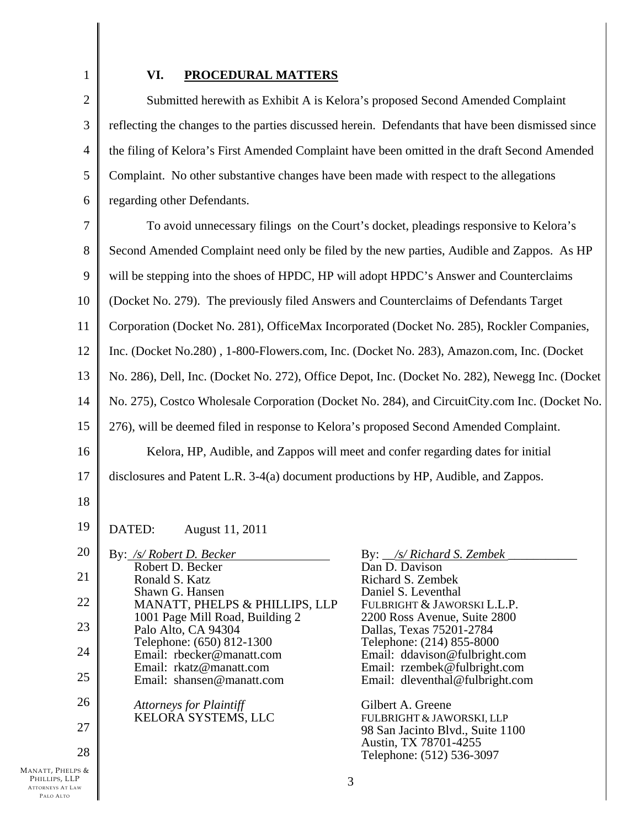1

## **VI. PROCEDURAL MATTERS**

2 3 4 5 6 Submitted herewith as Exhibit A is Kelora's proposed Second Amended Complaint reflecting the changes to the parties discussed herein. Defendants that have been dismissed since the filing of Kelora's First Amended Complaint have been omitted in the draft Second Amended Complaint. No other substantive changes have been made with respect to the allegations regarding other Defendants.

7 8 9 10 11 12 13 14 15 16 17 To avoid unnecessary filings on the Court's docket, pleadings responsive to Kelora's Second Amended Complaint need only be filed by the new parties, Audible and Zappos. As HP will be stepping into the shoes of HPDC, HP will adopt HPDC's Answer and Counterclaims (Docket No. 279). The previously filed Answers and Counterclaims of Defendants Target Corporation (Docket No. 281), OfficeMax Incorporated (Docket No. 285), Rockler Companies, Inc. (Docket No.280) , 1-800-Flowers.com, Inc. (Docket No. 283), Amazon.com, Inc. (Docket No. 286), Dell, Inc. (Docket No. 272), Office Depot, Inc. (Docket No. 282), Newegg Inc. (Docket No. 275), Costco Wholesale Corporation (Docket No. 284), and CircuitCity.com Inc. (Docket No. 276), will be deemed filed in response to Kelora's proposed Second Amended Complaint. Kelora, HP, Audible, and Zappos will meet and confer regarding dates for initial disclosures and Patent L.R. 3-4(a) document productions by HP, Audible, and Zappos.

18

19 DATED: August 11, 2011

| 20              | By: /s/ Robert D. Becker                               | By: <u>/s/ Richard S. Zembek</u>                                |
|-----------------|--------------------------------------------------------|-----------------------------------------------------------------|
| 21              | Robert D. Becker<br>Ronald S. Katz                     | Dan D. Davison<br>Richard S. Zembek                             |
| 22              | Shawn G. Hansen<br>MANATT, PHELPS & PHILLIPS, LLP      | Daniel S. Leventhal<br>FULBRIGHT & JAWORSKI L.L.P.              |
| 23              | 1001 Page Mill Road, Building 2<br>Palo Alto, CA 94304 | 2200 Ross Avenue, Suite 2800<br>Dallas, Texas 75201-2784        |
| 24              | Telephone: (650) 812-1300<br>Email: rbecker@manatt.com | Telephone: (214) 855-8000<br>Email: ddavison@fulbright.com      |
| 25              | Email: rkatz@manatt.com<br>Email: shansen@manatt.com   | Email: rzembek@fulbright.com<br>Email: dleventhal@fulbright.com |
| 26              | <b>Attorneys for Plaintiff</b>                         | Gilbert A. Greene                                               |
| 27              | KELORA SYSTEMS, LLC                                    | FULBRIGHT & JAWORSKI, LLP<br>98 San Jacinto Blvd., Suite 1100   |
| 28              |                                                        | Austin, TX 78701-4255<br>Telephone: (512) 536-3097              |
| PS &<br>P<br>AW |                                                        | 3                                                               |
|                 |                                                        |                                                                 |

MANATT, PHEL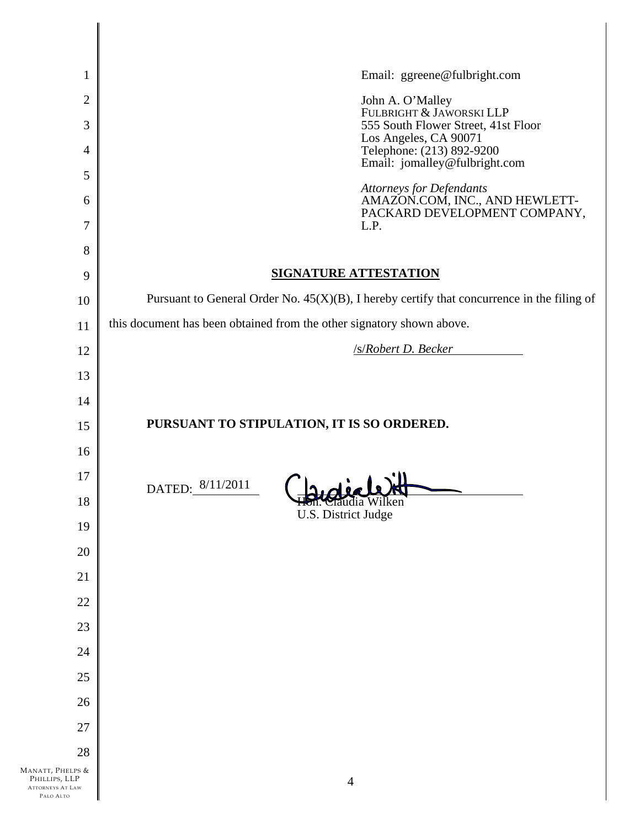| $\mathbf{1}$                                                              | Email: ggreene@fulbright.com                                                                  |
|---------------------------------------------------------------------------|-----------------------------------------------------------------------------------------------|
| $\overline{2}$<br>3                                                       | John A. O'Malley<br>FULBRIGHT & JAWORSKI LLP<br>555 South Flower Street, 41st Floor           |
| $\overline{4}$                                                            | Los Angeles, CA 90071<br>Telephone: (213) 892-9200                                            |
| 5                                                                         | Email: jomalley@fulbright.com                                                                 |
| 6                                                                         | Attorneys for Defendants<br>AMAZON.COM, INC., AND HEWLETT-<br>PACKARD DEVELOPMENT COMPANY,    |
| 7                                                                         | L.P.                                                                                          |
| 8                                                                         |                                                                                               |
| 9                                                                         | <b>SIGNATURE ATTESTATION</b>                                                                  |
| 10                                                                        | Pursuant to General Order No. $45(X)(B)$ , I hereby certify that concurrence in the filing of |
| 11                                                                        | this document has been obtained from the other signatory shown above.<br>/s/Robert D. Becker  |
| 12                                                                        |                                                                                               |
| 13                                                                        |                                                                                               |
| 14                                                                        | PURSUANT TO STIPULATION, IT IS SO ORDERED.                                                    |
| 15                                                                        |                                                                                               |
| 16<br>17                                                                  |                                                                                               |
| 18                                                                        | $\ln \det$<br>DATED: 8/11/2011<br>Taudia Wilken                                               |
| 19                                                                        | U.S. District Judge                                                                           |
| 20                                                                        |                                                                                               |
| 21                                                                        |                                                                                               |
| 22                                                                        |                                                                                               |
| 23                                                                        |                                                                                               |
| 24                                                                        |                                                                                               |
| 25                                                                        |                                                                                               |
| 26                                                                        |                                                                                               |
| 27                                                                        |                                                                                               |
| 28                                                                        |                                                                                               |
| MANATT, PHELPS &<br>PHILLIPS, LLP<br><b>ATTORNEYS AT LAW</b><br>PALO ALTO | $\overline{4}$                                                                                |